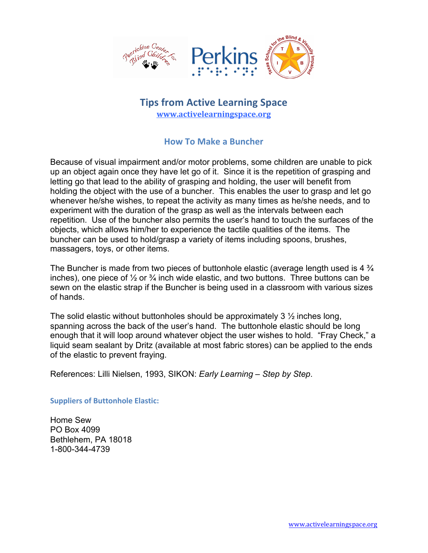

## **Tips from Active Learning Space www.activelearningspace.org**

## **How To Make a Buncher**

Because of visual impairment and/or motor problems, some children are unable to pick up an object again once they have let go of it. Since it is the repetition of grasping and letting go that lead to the ability of grasping and holding, the user will benefit from holding the object with the use of a buncher. This enables the user to grasp and let go whenever he/she wishes, to repeat the activity as many times as he/she needs, and to experiment with the duration of the grasp as well as the intervals between each repetition. Use of the buncher also permits the user's hand to touch the surfaces of the objects, which allows him/her to experience the tactile qualities of the items. The buncher can be used to hold/grasp a variety of items including spoons, brushes, massagers, toys, or other items.

The Buncher is made from two pieces of buttonhole elastic (average length used is 4  $\frac{3}{4}$ inches), one piece of  $\frac{1}{2}$  or  $\frac{3}{4}$  inch wide elastic, and two buttons. Three buttons can be sewn on the elastic strap if the Buncher is being used in a classroom with various sizes of hands.

The solid elastic without buttonholes should be approximately 3  $\frac{1}{2}$  inches long, spanning across the back of the user's hand. The buttonhole elastic should be long enough that it will loop around whatever object the user wishes to hold. "Fray Check," a liquid seam sealant by Dritz (available at most fabric stores) can be applied to the ends of the elastic to prevent fraying.

References: Lilli Nielsen, 1993, SIKON: *Early Learning – Step by Step*.

**Suppliers of Buttonhole Elastic:** 

Home Sew PO Box 4099 Bethlehem, PA 18018 1-800-344-4739